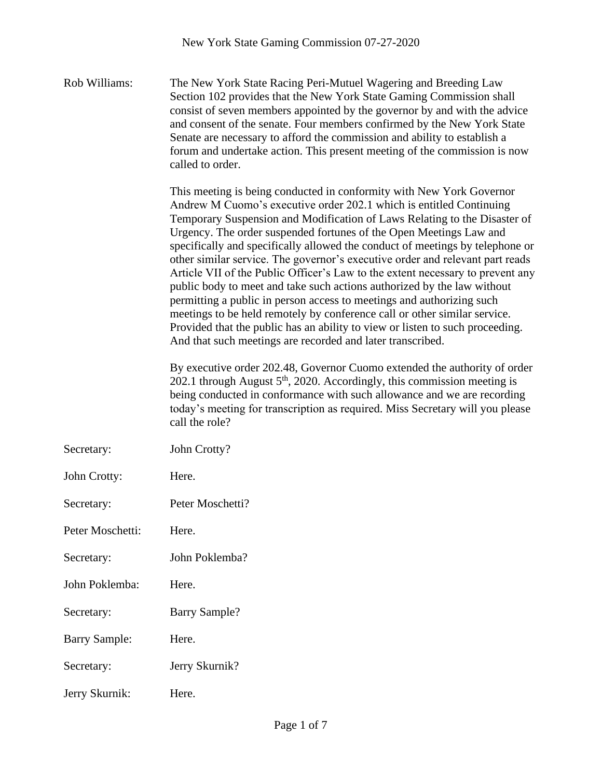Rob Williams: The New York State Racing Peri-Mutuel Wagering and Breeding Law Section 102 provides that the New York State Gaming Commission shall consist of seven members appointed by the governor by and with the advice and consent of the senate. Four members confirmed by the New York State Senate are necessary to afford the commission and ability to establish a forum and undertake action. This present meeting of the commission is now called to order.

> This meeting is being conducted in conformity with New York Governor Andrew M Cuomo's executive order 202.1 which is entitled Continuing Temporary Suspension and Modification of Laws Relating to the Disaster of Urgency. The order suspended fortunes of the Open Meetings Law and specifically and specifically allowed the conduct of meetings by telephone or other similar service. The governor's executive order and relevant part reads Article VII of the Public Officer's Law to the extent necessary to prevent any public body to meet and take such actions authorized by the law without permitting a public in person access to meetings and authorizing such meetings to be held remotely by conference call or other similar service. Provided that the public has an ability to view or listen to such proceeding. And that such meetings are recorded and later transcribed.

> By executive order 202.48, Governor Cuomo extended the authority of order 202.1 through August  $5<sup>th</sup>$ , 2020. Accordingly, this commission meeting is being conducted in conformance with such allowance and we are recording today's meeting for transcription as required. Miss Secretary will you please call the role?

| Secretary:           | John Crotty?         |
|----------------------|----------------------|
| John Crotty:         | Here.                |
| Secretary:           | Peter Moschetti?     |
| Peter Moschetti:     | Here.                |
| Secretary:           | John Poklemba?       |
| John Poklemba:       | Here.                |
| Secretary:           | <b>Barry Sample?</b> |
| <b>Barry Sample:</b> | Here.                |
| Secretary:           | Jerry Skurnik?       |
| Jerry Skurnik:       | Here.                |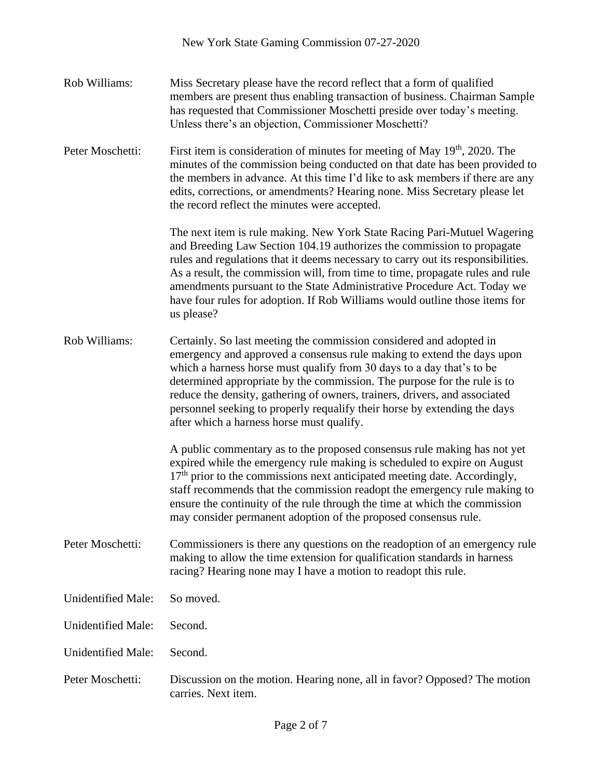Rob Williams: Miss Secretary please have the record reflect that a form of qualified members are present thus enabling transaction of business. Chairman Sample has requested that Commissioner Moschetti preside over today's meeting. Unless there's an objection, Commissioner Moschetti? Peter Moschetti: First item is consideration of minutes for meeting of May  $19<sup>th</sup>$ , 2020. The minutes of the commission being conducted on that date has been provided to the members in advance. At this time I'd like to ask members if there are any edits, corrections, or amendments? Hearing none. Miss Secretary please let the record reflect the minutes were accepted. The next item is rule making. New York State Racing Pari-Mutuel Wagering and Breeding Law Section 104.19 authorizes the commission to propagate rules and regulations that it deems necessary to carry out its responsibilities. As a result, the commission will, from time to time, propagate rules and rule amendments pursuant to the State Administrative Procedure Act. Today we have four rules for adoption. If Rob Williams would outline those items for us please? Rob Williams: Certainly. So last meeting the commission considered and adopted in emergency and approved a consensus rule making to extend the days upon which a harness horse must qualify from 30 days to a day that's to be determined appropriate by the commission. The purpose for the rule is to reduce the density, gathering of owners, trainers, drivers, and associated personnel seeking to properly requalify their horse by extending the days after which a harness horse must qualify. A public commentary as to the proposed consensus rule making has not yet expired while the emergency rule making is scheduled to expire on August  $17<sup>th</sup>$  prior to the commissions next anticipated meeting date. Accordingly, staff recommends that the commission readopt the emergency rule making to ensure the continuity of the rule through the time at which the commission may consider permanent adoption of the proposed consensus rule. Peter Moschetti: Commissioners is there any questions on the readoption of an emergency rule making to allow the time extension for qualification standards in harness racing? Hearing none may I have a motion to readopt this rule. Unidentified Male: So moved. Unidentified Male: Second. Unidentified Male: Second. Peter Moschetti: Discussion on the motion. Hearing none, all in favor? Opposed? The motion carries. Next item.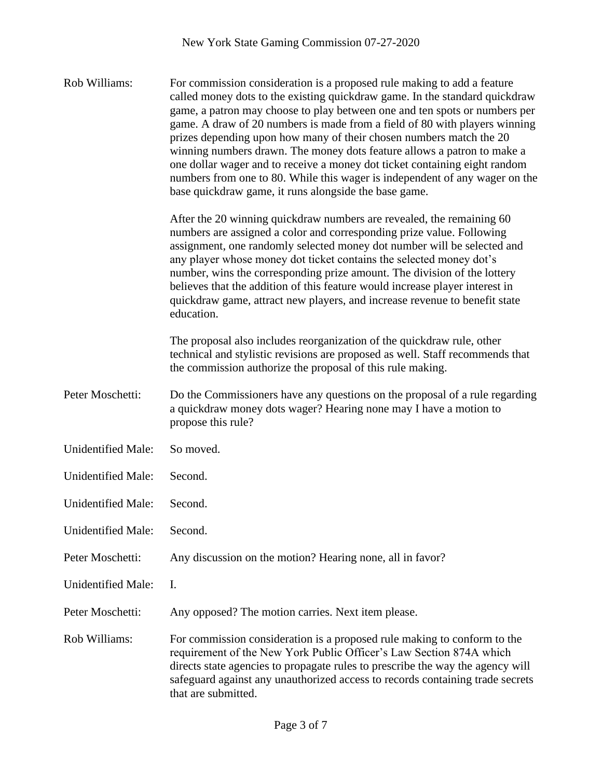Rob Williams: For commission consideration is a proposed rule making to add a feature called money dots to the existing quickdraw game. In the standard quickdraw game, a patron may choose to play between one and ten spots or numbers per game. A draw of 20 numbers is made from a field of 80 with players winning prizes depending upon how many of their chosen numbers match the 20 winning numbers drawn. The money dots feature allows a patron to make a one dollar wager and to receive a money dot ticket containing eight random numbers from one to 80. While this wager is independent of any wager on the base quickdraw game, it runs alongside the base game. After the 20 winning quickdraw numbers are revealed, the remaining 60 numbers are assigned a color and corresponding prize value. Following assignment, one randomly selected money dot number will be selected and any player whose money dot ticket contains the selected money dot's number, wins the corresponding prize amount. The division of the lottery believes that the addition of this feature would increase player interest in quickdraw game, attract new players, and increase revenue to benefit state education. The proposal also includes reorganization of the quickdraw rule, other technical and stylistic revisions are proposed as well. Staff recommends that the commission authorize the proposal of this rule making. Peter Moschetti: Do the Commissioners have any questions on the proposal of a rule regarding a quickdraw money dots wager? Hearing none may I have a motion to propose this rule? Unidentified Male: So moved. Unidentified Male: Second. Unidentified Male: Second. Unidentified Male: Second. Peter Moschetti: Any discussion on the motion? Hearing none, all in favor? Unidentified Male: I. Peter Moschetti: Any opposed? The motion carries. Next item please. Rob Williams: For commission consideration is a proposed rule making to conform to the requirement of the New York Public Officer's Law Section 874A which directs state agencies to propagate rules to prescribe the way the agency will safeguard against any unauthorized access to records containing trade secrets

that are submitted.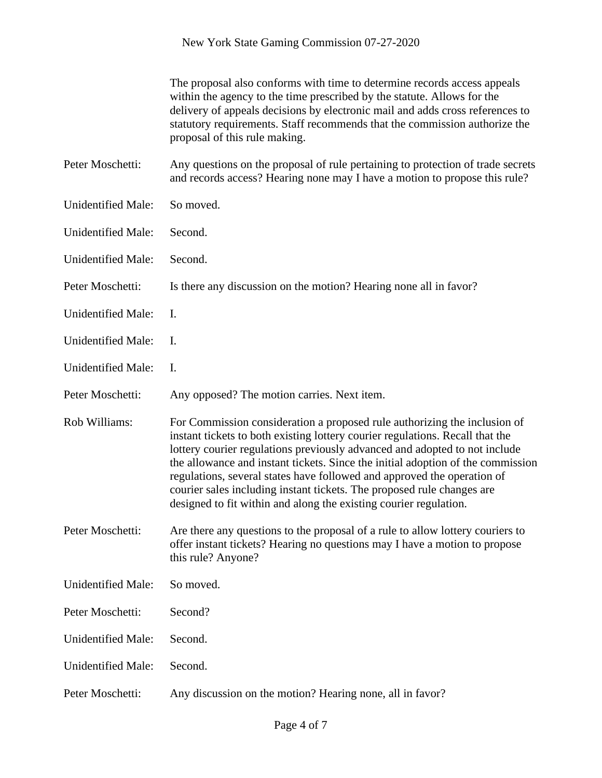|                           | The proposal also conforms with time to determine records access appeals<br>within the agency to the time prescribed by the statute. Allows for the<br>delivery of appeals decisions by electronic mail and adds cross references to<br>statutory requirements. Staff recommends that the commission authorize the<br>proposal of this rule making.                                                                                                                                                                                                   |
|---------------------------|-------------------------------------------------------------------------------------------------------------------------------------------------------------------------------------------------------------------------------------------------------------------------------------------------------------------------------------------------------------------------------------------------------------------------------------------------------------------------------------------------------------------------------------------------------|
| Peter Moschetti:          | Any questions on the proposal of rule pertaining to protection of trade secrets<br>and records access? Hearing none may I have a motion to propose this rule?                                                                                                                                                                                                                                                                                                                                                                                         |
| <b>Unidentified Male:</b> | So moved.                                                                                                                                                                                                                                                                                                                                                                                                                                                                                                                                             |
| <b>Unidentified Male:</b> | Second.                                                                                                                                                                                                                                                                                                                                                                                                                                                                                                                                               |
| <b>Unidentified Male:</b> | Second.                                                                                                                                                                                                                                                                                                                                                                                                                                                                                                                                               |
| Peter Moschetti:          | Is there any discussion on the motion? Hearing none all in favor?                                                                                                                                                                                                                                                                                                                                                                                                                                                                                     |
| <b>Unidentified Male:</b> | I.                                                                                                                                                                                                                                                                                                                                                                                                                                                                                                                                                    |
| <b>Unidentified Male:</b> | I.                                                                                                                                                                                                                                                                                                                                                                                                                                                                                                                                                    |
| <b>Unidentified Male:</b> | I.                                                                                                                                                                                                                                                                                                                                                                                                                                                                                                                                                    |
| Peter Moschetti:          | Any opposed? The motion carries. Next item.                                                                                                                                                                                                                                                                                                                                                                                                                                                                                                           |
| Rob Williams:             | For Commission consideration a proposed rule authorizing the inclusion of<br>instant tickets to both existing lottery courier regulations. Recall that the<br>lottery courier regulations previously advanced and adopted to not include<br>the allowance and instant tickets. Since the initial adoption of the commission<br>regulations, several states have followed and approved the operation of<br>courier sales including instant tickets. The proposed rule changes are<br>designed to fit within and along the existing courier regulation. |
| Peter Moschetti:          | Are there any questions to the proposal of a rule to allow lottery couriers to<br>offer instant tickets? Hearing no questions may I have a motion to propose<br>this rule? Anyone?                                                                                                                                                                                                                                                                                                                                                                    |
| <b>Unidentified Male:</b> | So moved.                                                                                                                                                                                                                                                                                                                                                                                                                                                                                                                                             |
| Peter Moschetti:          | Second?                                                                                                                                                                                                                                                                                                                                                                                                                                                                                                                                               |
| <b>Unidentified Male:</b> | Second.                                                                                                                                                                                                                                                                                                                                                                                                                                                                                                                                               |
| <b>Unidentified Male:</b> | Second.                                                                                                                                                                                                                                                                                                                                                                                                                                                                                                                                               |
| Peter Moschetti:          | Any discussion on the motion? Hearing none, all in favor?                                                                                                                                                                                                                                                                                                                                                                                                                                                                                             |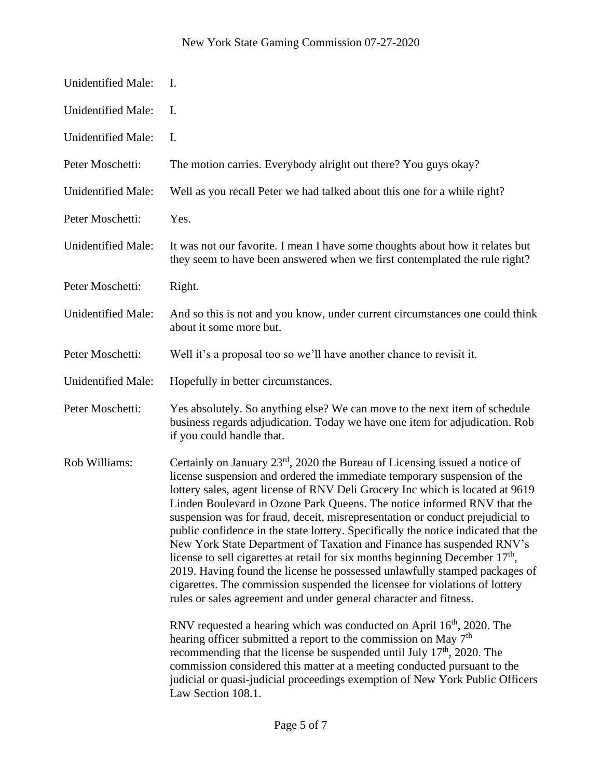| Unidentified Male:        | Ι.                                                                                                                                                                                                                                                                                                                                                                                                                                                                                                                                                                                                                                                                                                                                                                                                                                                                                                                                                                                                                                                                                                                                                   |
|---------------------------|------------------------------------------------------------------------------------------------------------------------------------------------------------------------------------------------------------------------------------------------------------------------------------------------------------------------------------------------------------------------------------------------------------------------------------------------------------------------------------------------------------------------------------------------------------------------------------------------------------------------------------------------------------------------------------------------------------------------------------------------------------------------------------------------------------------------------------------------------------------------------------------------------------------------------------------------------------------------------------------------------------------------------------------------------------------------------------------------------------------------------------------------------|
| <b>Unidentified Male:</b> | I.                                                                                                                                                                                                                                                                                                                                                                                                                                                                                                                                                                                                                                                                                                                                                                                                                                                                                                                                                                                                                                                                                                                                                   |
| Unidentified Male:        | Ι.                                                                                                                                                                                                                                                                                                                                                                                                                                                                                                                                                                                                                                                                                                                                                                                                                                                                                                                                                                                                                                                                                                                                                   |
| Peter Moschetti:          | The motion carries. Everybody alright out there? You guys okay?                                                                                                                                                                                                                                                                                                                                                                                                                                                                                                                                                                                                                                                                                                                                                                                                                                                                                                                                                                                                                                                                                      |
| Unidentified Male:        | Well as you recall Peter we had talked about this one for a while right?                                                                                                                                                                                                                                                                                                                                                                                                                                                                                                                                                                                                                                                                                                                                                                                                                                                                                                                                                                                                                                                                             |
| Peter Moschetti:          | Yes.                                                                                                                                                                                                                                                                                                                                                                                                                                                                                                                                                                                                                                                                                                                                                                                                                                                                                                                                                                                                                                                                                                                                                 |
| <b>Unidentified Male:</b> | It was not our favorite. I mean I have some thoughts about how it relates but<br>they seem to have been answered when we first contemplated the rule right?                                                                                                                                                                                                                                                                                                                                                                                                                                                                                                                                                                                                                                                                                                                                                                                                                                                                                                                                                                                          |
| Peter Moschetti:          | Right.                                                                                                                                                                                                                                                                                                                                                                                                                                                                                                                                                                                                                                                                                                                                                                                                                                                                                                                                                                                                                                                                                                                                               |
| Unidentified Male:        | And so this is not and you know, under current circumstances one could think<br>about it some more but.                                                                                                                                                                                                                                                                                                                                                                                                                                                                                                                                                                                                                                                                                                                                                                                                                                                                                                                                                                                                                                              |
| Peter Moschetti:          | Well it's a proposal too so we'll have another chance to revisit it.                                                                                                                                                                                                                                                                                                                                                                                                                                                                                                                                                                                                                                                                                                                                                                                                                                                                                                                                                                                                                                                                                 |
| <b>Unidentified Male:</b> | Hopefully in better circumstances.                                                                                                                                                                                                                                                                                                                                                                                                                                                                                                                                                                                                                                                                                                                                                                                                                                                                                                                                                                                                                                                                                                                   |
| Peter Moschetti:          | Yes absolutely. So anything else? We can move to the next item of schedule<br>business regards adjudication. Today we have one item for adjudication. Rob<br>if you could handle that.                                                                                                                                                                                                                                                                                                                                                                                                                                                                                                                                                                                                                                                                                                                                                                                                                                                                                                                                                               |
| Rob Williams:             | Certainly on January 23 <sup>rd</sup> , 2020 the Bureau of Licensing issued a notice of<br>license suspension and ordered the immediate temporary suspension of the<br>lottery sales, agent license of RNV Deli Grocery Inc which is located at 9619<br>Linden Boulevard in Ozone Park Queens. The notice informed RNV that the<br>suspension was for fraud, deceit, misrepresentation or conduct prejudicial to<br>public confidence in the state lottery. Specifically the notice indicated that the<br>New York State Department of Taxation and Finance has suspended RNV's<br>license to sell cigarettes at retail for six months beginning December 17 <sup>th</sup> ,<br>2019. Having found the license he possessed unlawfully stamped packages of<br>cigarettes. The commission suspended the licensee for violations of lottery<br>rules or sales agreement and under general character and fitness.<br>RNV requested a hearing which was conducted on April $16th$ , 2020. The<br>hearing officer submitted a report to the commission on May 7 <sup>th</sup><br>recommending that the license be suspended until July $17th$ , 2020. The |
|                           | commission considered this matter at a meeting conducted pursuant to the<br>judicial or quasi-judicial proceedings exemption of New York Public Officers<br>Law Section 108.1.                                                                                                                                                                                                                                                                                                                                                                                                                                                                                                                                                                                                                                                                                                                                                                                                                                                                                                                                                                       |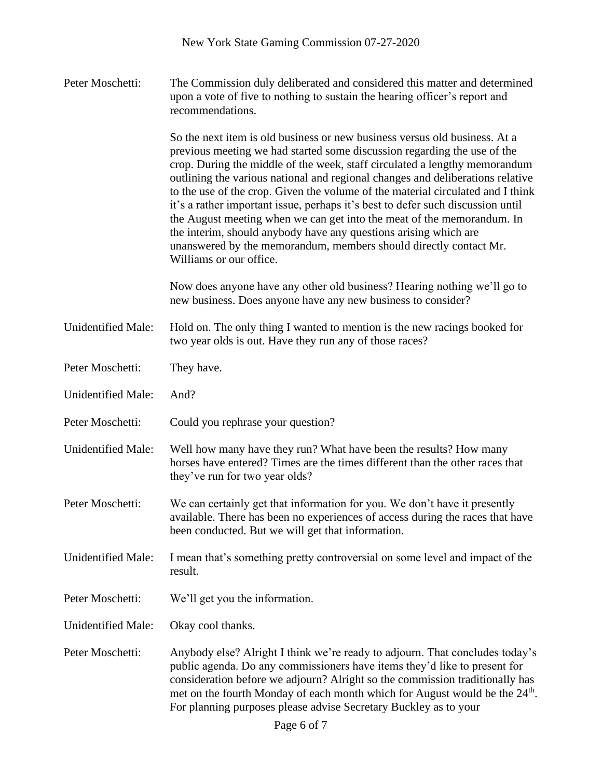Peter Moschetti: The Commission duly deliberated and considered this matter and determined upon a vote of five to nothing to sustain the hearing officer's report and recommendations.

> So the next item is old business or new business versus old business. At a previous meeting we had started some discussion regarding the use of the crop. During the middle of the week, staff circulated a lengthy memorandum outlining the various national and regional changes and deliberations relative to the use of the crop. Given the volume of the material circulated and I think it's a rather important issue, perhaps it's best to defer such discussion until the August meeting when we can get into the meat of the memorandum. In the interim, should anybody have any questions arising which are unanswered by the memorandum, members should directly contact Mr. Williams or our office.

Now does anyone have any other old business? Hearing nothing we'll go to new business. Does anyone have any new business to consider?

Unidentified Male: Hold on. The only thing I wanted to mention is the new racings booked for two year olds is out. Have they run any of those races?

Peter Moschetti: They have.

Unidentified Male: And?

Peter Moschetti: Could you rephrase your question?

Unidentified Male: Well how many have they run? What have been the results? How many horses have entered? Times are the times different than the other races that they've run for two year olds?

Peter Moschetti: We can certainly get that information for you. We don't have it presently available. There has been no experiences of access during the races that have been conducted. But we will get that information.

Unidentified Male: I mean that's something pretty controversial on some level and impact of the result.

Peter Moschetti: We'll get you the information.

Unidentified Male: Okay cool thanks.

Peter Moschetti: Anybody else? Alright I think we're ready to adjourn. That concludes today's public agenda. Do any commissioners have items they'd like to present for consideration before we adjourn? Alright so the commission traditionally has met on the fourth Monday of each month which for August would be the 24<sup>th</sup>. For planning purposes please advise Secretary Buckley as to your